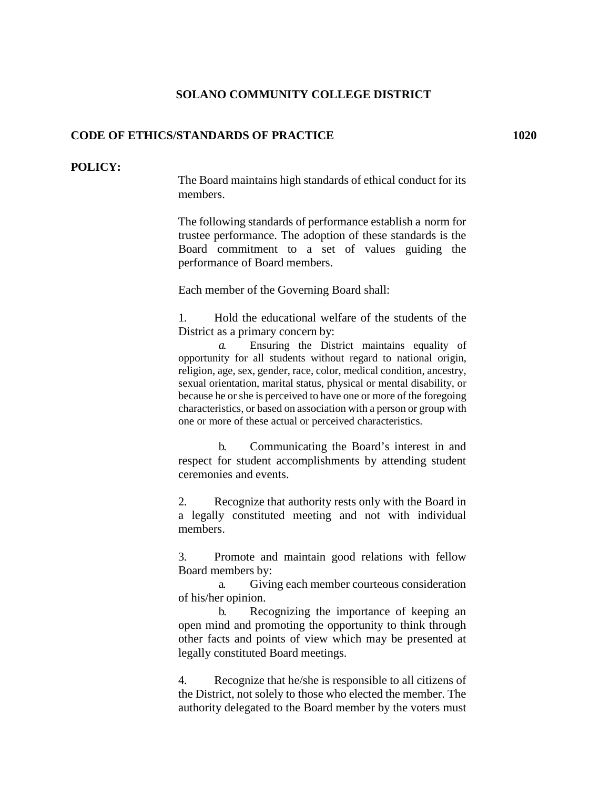## **SOLANO COMMUNITY COLLEGE DISTRICT**

## **CODE OF ETHICS/STANDARDS OF PRACTICE 1020**

## **POLICY:**

The Board maintains high standards of ethical conduct for its members.

The following standards of performance establish a norm for trustee performance. The adoption of these standards is the Board commitment to a set of values guiding the performance of Board members.

Each member of the Governing Board shall:

1. Hold the educational welfare of the students of the District as a primary concern by:

*a.* Ensuring the District maintains equality of opportunity for all students without regard to national origin, religion, age, sex, gender, race, color, medical condition, ancestry, sexual orientation, marital status, physical or mental disability, or because he or she is perceived to have one or more of the foregoing characteristics, or based on association with a person or group with one or more of these actual or perceived characteristics.

b. Communicating the Board's interest in and respect for student accomplishments by attending student ceremonies and events.

2. Recognize that authority rests only with the Board in a legally constituted meeting and not with individual members.

3. Promote and maintain good relations with fellow Board members by:

a. Giving each member courteous consideration of his/her opinion.

b. Recognizing the importance of keeping an open mind and promoting the opportunity to think through other facts and points of view which may be presented at legally constituted Board meetings.

4. Recognize that he/she is responsible to all citizens of the District, not solely to those who elected the member. The authority delegated to the Board member by the voters must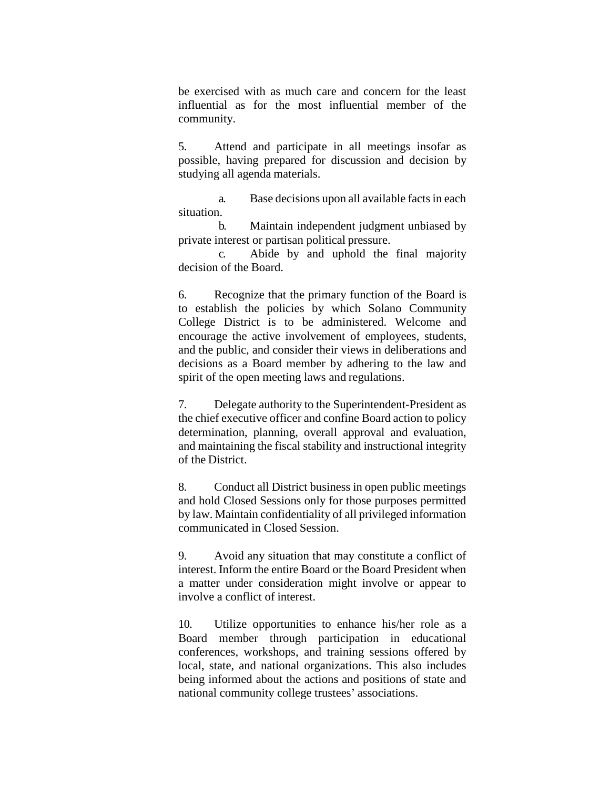be exercised with as much care and concern for the least influential as for the most influential member of the community.

5. Attend and participate in all meetings insofar as possible, having prepared for discussion and decision by studying all agenda materials.

a. Base decisions upon all available facts in each situation.

b. Maintain independent judgment unbiased by private interest or partisan political pressure.

c. Abide by and uphold the final majority decision of the Board.

6. Recognize that the primary function of the Board is to establish the policies by which Solano Community College District is to be administered. Welcome and encourage the active involvement of employees, students, and the public, and consider their views in deliberations and decisions as a Board member by adhering to the law and spirit of the open meeting laws and regulations.

7. Delegate authority to the Superintendent-President as the chief executive officer and confine Board action to policy determination, planning, overall approval and evaluation, and maintaining the fiscal stability and instructional integrity of the District.

8. Conduct all District business in open public meetings and hold Closed Sessions only for those purposes permitted by law. Maintain confidentiality of all privileged information communicated in Closed Session.

9. Avoid any situation that may constitute a conflict of interest. Inform the entire Board or the Board President when a matter under consideration might involve or appear to involve a conflict of interest.

10. Utilize opportunities to enhance his/her role as a Board member through participation in educational conferences, workshops, and training sessions offered by local, state, and national organizations. This also includes being informed about the actions and positions of state and national community college trustees' associations.